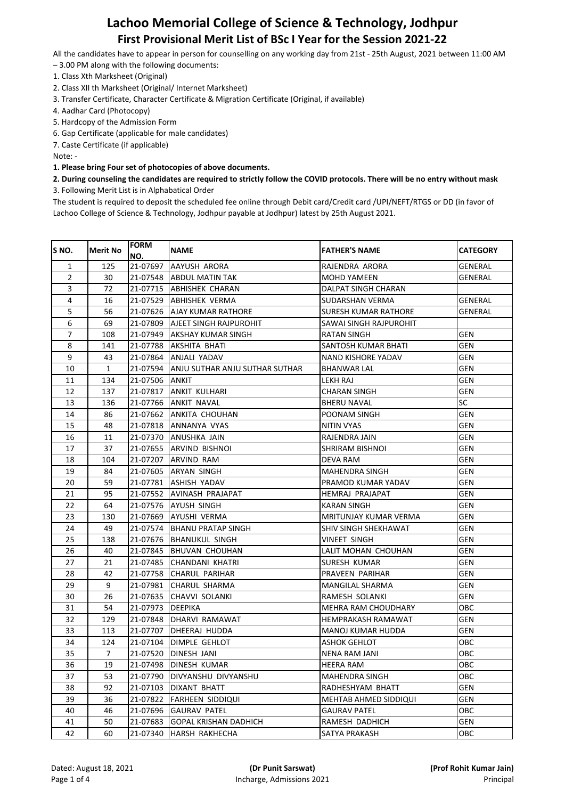All the candidates have to appear in person for counselling on any working day from 21st - 25th August, 2021 between 11:00 AM

- 3.00 PM along with the following documents:
- 1. Class Xth Marksheet (Original)
- 2. Class XII th Marksheet (Original/ Internet Marksheet)
- 3. Transfer Certificate, Character Certificate & Migration Certificate (Original, if available)
- 4. Aadhar Card (Photocopy)
- 5. Hardcopy of the Admission Form
- 6. Gap Certificate (applicable for male candidates)

7. Caste Certificate (if applicable)

Note: -

**1. Please bring Four set of photocopies of above documents.**

### **2. During counseling the candidates are required to strictly follow the COVID protocols. There will be no entry without mask** 3. Following Merit List is in Alphabatical Order

| S <sub>NO</sub> . | <b>Merit No</b> | <b>FORM</b>       | <b>NAME</b>                              | <b>FATHER'S NAME</b>   | <b>CATEGORY</b> |
|-------------------|-----------------|-------------------|------------------------------------------|------------------------|-----------------|
|                   |                 | NO.               |                                          |                        |                 |
| 1                 | 125             | 21-07697          | AAYUSH ARORA                             | RAJENDRA ARORA         | GENERAL         |
| 2                 | 30              | 21-07548          | ABDUL MATIN TAK                          | MOHD YAMEEN            | GENERAL         |
| 3                 | 72              |                   | 21-07715  ABHISHEK CHARAN                | DALPAT SINGH CHARAN    |                 |
| 4                 | 16              |                   | 21-07529  ABHISHEK VERMA                 | SUDARSHAN VERMA        | GENERAL         |
| 5                 | 56              |                   | 21-07626  AJAY KUMAR RATHORE             | SURESH KUMAR RATHORE   | GENERAL         |
| 6                 | 69              |                   | 21-07809  AJEET SINGH RAJPUROHIT         | SAWAI SINGH RAJPUROHIT |                 |
| $\overline{7}$    | 108             |                   | 21-07949  AKSHAY KUMAR SINGH             | RATAN SINGH            | GEN             |
| 8                 | 141             | 21-07788          | AKSHITA BHATI                            | SANTOSH KUMAR BHATI    | GEN             |
| 9                 | 43              | 21-07864          | ANJALI YADAV                             | NAND KISHORE YADAV     | GEN             |
| 10                | $\mathbf{1}$    |                   | 21-07594  ANJU SUTHAR ANJU SUTHAR SUTHAR | BHANWAR LAL            | GEN             |
| 11                | 134             | 21-07506 ANKIT    |                                          | LEKH RAJ               | GEN             |
| 12                | 137             |                   | 21-07817  ANKIT KULHARI                  | CHARAN SINGH           | GEN             |
| 13                | 136             |                   | 21-07766  ANKIT NAVAL                    | BHERU NAVAL            | SC              |
| 14                | 86              |                   | 21-07662  ANKITA CHOUHAN                 | POONAM SINGH           | GEN             |
| 15                | 48              |                   | 21-07818  ANNANYA VYAS                   | NITIN VYAS             | GEN             |
| 16                | 11              |                   | 21-07370 <b>J</b> ANUSHKA JAIN           | RAJENDRA JAIN          | GEN             |
| 17                | 37              |                   | 21-07655  ARVIND BISHNOI                 | SHRIRAM BISHNOI        | GEN             |
| 18                | 104             |                   | 21-07207  ARVIND RAM                     | DEVA RAM               | GEN             |
| 19                | 84              |                   | 21-07605  ARYAN SINGH                    | MAHENDRA SINGH         | GEN             |
| 20                | 59              |                   | 21-07781  ASHISH YADAV                   | PRAMOD KUMAR YADAV     | GEN             |
| 21                | 95              |                   | 21-07552 LAVINASH PRAJAPAT               | HEMRAJ PRAJAPAT        | GEN             |
| 22                | 64              |                   | 21-07576 JAYUSH SINGH                    | KARAN SINGH            | GEN             |
| 23                | 130             |                   | 21-07669  AYUSHI VERMA                   | MRITUNJAY KUMAR VERMA  | GEN             |
| 24                | 49              |                   | 21-07574 BHANU PRATAP SINGH              | SHIV SINGH SHEKHAWAT   | GEN             |
| 25                | 138             |                   | 21-07676 BHANUKUL SINGH                  | VINEET SINGH           | GEN             |
| 26                | 40              |                   | 21-07845  BHUVAN CHOUHAN                 | LALIT MOHAN CHOUHAN    | GEN             |
| 27                | 21              |                   | 21-07485 CHANDANI KHATRI                 | SURESH KUMAR           | GEN             |
| 28                | 42              |                   | 21-07758 CHARUL PARIHAR                  | PRAVEEN PARIHAR        | GEN             |
| 29                | 9               |                   | 21-07981  CHARUL SHARMA                  | MANGILAL SHARMA        | GEN             |
| 30                | 26              |                   | 21-07635  CHAVVI SOLANKI                 | RAMESH SOLANKI         | GEN             |
| 31                | 54              | 21-07973  DEEPIKA |                                          | MEHRA RAM CHOUDHARY    | OBC             |
| 32                | 129             |                   | 21-07848 IDHARVI RAMAWAT                 | HEMPRAKASH RAMAWAT     | GEN             |
| 33                | 113             |                   | 21-07707  DHEERAJ HUDDA                  | MANOJ KUMAR HUDDA      | GEN             |
| 34                | 124             |                   | 21-07104  DIMPLE GEHLOT                  | ASHOK GEHLOT           | OBC             |
| 35                | $\overline{7}$  |                   | 21-07520 DINESH JANI                     | NENA RAM JANI          | OBC             |
| 36                | 19              |                   | 21-07498 DINESH KUMAR                    | <b>HEERA RAM</b>       | OBC             |
| 37                | 53              | 21-07790          | DIVYANSHU DIVYANSHU                      | MAHENDRA SINGH         | OBC             |
| 38                | 92              | 21-07103          | <b>DIXANT BHATT</b>                      | RADHESHYAM BHATT       | GEN             |
| 39                | 36              | 21-07822          | <b>FARHEEN SIDDIQUI</b>                  | MEHTAB AHMED SIDDIQUI  | GEN             |
| 40                | 46              | 21-07696          | <b>GAURAV PATEL</b>                      | <b>GAURAV PATEL</b>    | OBC             |
| 41                | 50              | 21-07683          | <b>GOPAL KRISHAN DADHICH</b>             | RAMESH DADHICH         | GEN             |
| 42                | 60              | 21-07340          | HARSH RAKHECHA                           | SATYA PRAKASH          | OBC             |
|                   |                 |                   |                                          |                        |                 |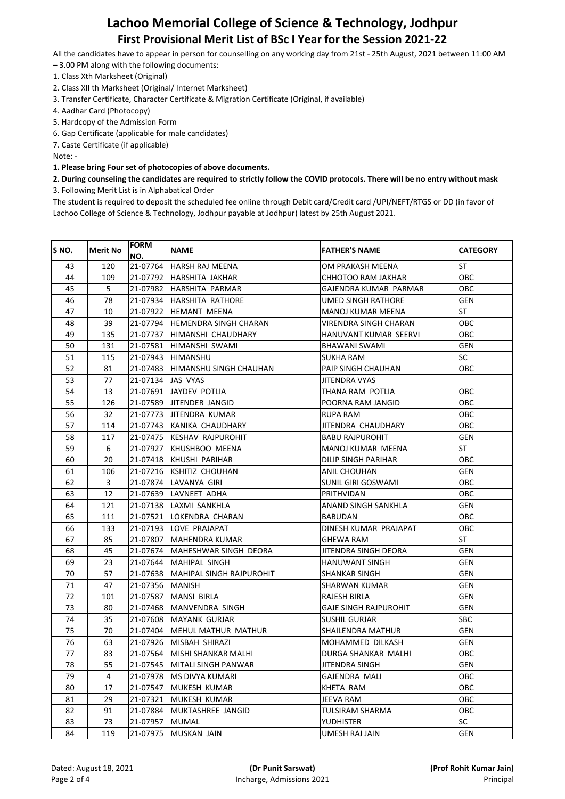All the candidates have to appear in person for counselling on any working day from 21st - 25th August, 2021 between 11:00 AM

- 3.00 PM along with the following documents:
- 1. Class Xth Marksheet (Original)
- 2. Class XII th Marksheet (Original/ Internet Marksheet)
- 3. Transfer Certificate, Character Certificate & Migration Certificate (Original, if available)
- 4. Aadhar Card (Photocopy)
- 5. Hardcopy of the Admission Form
- 6. Gap Certificate (applicable for male candidates)

7. Caste Certificate (if applicable)

Note: -

**1. Please bring Four set of photocopies of above documents.**

### **2. During counseling the candidates are required to strictly follow the COVID protocols. There will be no entry without mask** 3. Following Merit List is in Alphabatical Order

| NO.<br><b>ST</b><br>120<br>21-07764<br>43<br>HARSH RAJ MEENA<br>OM PRAKASH MEENA<br>OBC<br>44<br>109<br>21-07792  <br>HARSHITA JAKHAR<br>CHHOTOO RAM JAKHAR<br>5<br>45<br>ОВС<br>21-07982  HARSHITA PARMAR<br>GAJENDRA KUMAR PARMAR<br>46<br>78<br>GEN<br>21-07934 HARSHITA RATHORE<br>UMED SINGH RATHORE<br><b>ST</b><br>47<br>10<br>21-07922  HEMANT MEENA<br>MANOJ KUMAR MEENA<br>39<br>OBC<br>48<br>21-07794  HEMENDRA SINGH CHARAN<br>VIRENDRA SINGH CHARAN<br>49<br>135<br>21-07737  HIMANSHI CHAUDHARY<br>HANUVANT KUMAR SEERVI<br>овс<br>50<br>GEN<br>131<br>21-07581 HIMANSHI SWAMI<br>BHAWANI SWAMI<br><b>SC</b><br>51<br>115<br>21-07943  HIMANSHU<br>SUKHA RAM<br>52<br>ОВС<br>81<br>21-07483  HIMANSHU SINGH CHAUHAN<br>PAIP SINGH CHAUHAN<br>53<br>77<br>21-07134  JAS VYAS<br>JITENDRA VYAS<br>54<br>OBC<br>13<br>21-07691  JAYDEV POTLIA<br>THANA RAM POTLIA<br>55<br>OBC<br>126<br>21-07589  JITENDER JANGID<br>POORNA RAM JANGID<br>56<br>32<br>OBC<br>21-07773  JITENDRA KUMAR<br>RUPA RAM<br>57<br>OBC<br>114<br>21-07743 KANIKA CHAUDHARY<br>JITENDRA CHAUDHARY<br>58<br>GEN<br>117<br>21-07475 KESHAV RAJPUROHIT<br><b>BABU RAJPUROHIT</b><br><b>ST</b><br>59<br>6<br>21-07927  KHUSHBOO MEENA<br>MANOJ KUMAR MEENA<br>60<br>20<br>ОВС<br>21-07418  KHUSHI PARIHAR<br>DILIP SINGH PARIHAR<br>61<br>GEN<br>106<br>21-07216  KSHITIZ CHOUHAN<br>ANIL CHOUHAN<br>3<br>62<br>OBC<br>21-07874  LAVANYA GIRI<br>SUNIL GIRI GOSWAMI<br>63<br>OBC<br>12<br>21-07639 ILAVNEET ADHA<br>PRITHVIDAN<br>64<br>GEN<br>121<br>21-07138  LAXMI SANKHLA<br>ANAND SINGH SANKHLA<br>65<br>OBC<br>111<br>21-07521  LOKENDRA CHARAN<br>BABUDAN<br>66<br>ОВС<br>133<br>21-07193  LOVE PRAJAPAT<br>DINESH KUMAR PRAJAPAT<br><b>ST</b><br>67<br>85<br>21-07807  MAHENDRA KUMAR<br>GHEWA RAM<br>68<br>GEN<br>45<br>21-07674  MAHESHWAR SINGH DEORA<br>JITENDRA SINGH DEORA<br>69<br>23<br>GEN<br>21-07644  MAHIPAL SINGH<br>HANUWANT SINGH<br>70<br>57<br>GEN<br>21-07638  MAHIPAL SINGH RAJPUROHIT<br>SHANKAR SINGH<br>71<br>47<br>GEN<br>21-07356  MANISH<br>SHARWAN KUMAR<br>72<br>GEN<br>101<br>21-07587  MANSI BIRLA<br>RAJESH BIRLA<br>73<br>GEN<br>80<br>21-07468  MANVENDRA SINGH<br>GAJE SINGH RAJPUROHIT<br>74<br>35<br>21-07608 MAYANK GURJAR<br><b>SBC</b><br>SUSHIL GURJAR<br>75<br>70<br>GEN<br>21-07404  MEHUL MATHUR MATHUR<br>SHAILENDRA MATHUR<br>76<br>63<br>GEN<br>21-07926 IMISBAH SHIRAZI<br>MOHAMMED DILKASH<br>77<br>83<br>DURGA SHANKAR MALHI<br>OBC<br>21-07564 MISHI SHANKAR MALHI<br>GEN<br>78<br>55<br>21-07545 MITALI SINGH PANWAR<br><b>JITENDRA SINGH</b><br>79<br>4<br>21-07978<br>MS DIVYA KUMARI<br>OBC<br>GAJENDRA MALI<br>80<br>17<br>21-07547<br>KHETA RAM<br>OBC<br>MUKESH KUMAR | S <sub>NO</sub> . | <b>Merit No</b> | <b>FORM</b> | <b>NAME</b>  | <b>FATHER'S NAME</b> | <b>CATEGORY</b> |
|----------------------------------------------------------------------------------------------------------------------------------------------------------------------------------------------------------------------------------------------------------------------------------------------------------------------------------------------------------------------------------------------------------------------------------------------------------------------------------------------------------------------------------------------------------------------------------------------------------------------------------------------------------------------------------------------------------------------------------------------------------------------------------------------------------------------------------------------------------------------------------------------------------------------------------------------------------------------------------------------------------------------------------------------------------------------------------------------------------------------------------------------------------------------------------------------------------------------------------------------------------------------------------------------------------------------------------------------------------------------------------------------------------------------------------------------------------------------------------------------------------------------------------------------------------------------------------------------------------------------------------------------------------------------------------------------------------------------------------------------------------------------------------------------------------------------------------------------------------------------------------------------------------------------------------------------------------------------------------------------------------------------------------------------------------------------------------------------------------------------------------------------------------------------------------------------------------------------------------------------------------------------------------------------------------------------------------------------------------------------------------------------------------------------------------------------------------------------------------------------------------------------------------------------------------------------------------------------------------------------------------------------------------------------------------------------------------------------|-------------------|-----------------|-------------|--------------|----------------------|-----------------|
|                                                                                                                                                                                                                                                                                                                                                                                                                                                                                                                                                                                                                                                                                                                                                                                                                                                                                                                                                                                                                                                                                                                                                                                                                                                                                                                                                                                                                                                                                                                                                                                                                                                                                                                                                                                                                                                                                                                                                                                                                                                                                                                                                                                                                                                                                                                                                                                                                                                                                                                                                                                                                                                                                                                      |                   |                 |             |              |                      |                 |
|                                                                                                                                                                                                                                                                                                                                                                                                                                                                                                                                                                                                                                                                                                                                                                                                                                                                                                                                                                                                                                                                                                                                                                                                                                                                                                                                                                                                                                                                                                                                                                                                                                                                                                                                                                                                                                                                                                                                                                                                                                                                                                                                                                                                                                                                                                                                                                                                                                                                                                                                                                                                                                                                                                                      |                   |                 |             |              |                      |                 |
|                                                                                                                                                                                                                                                                                                                                                                                                                                                                                                                                                                                                                                                                                                                                                                                                                                                                                                                                                                                                                                                                                                                                                                                                                                                                                                                                                                                                                                                                                                                                                                                                                                                                                                                                                                                                                                                                                                                                                                                                                                                                                                                                                                                                                                                                                                                                                                                                                                                                                                                                                                                                                                                                                                                      |                   |                 |             |              |                      |                 |
|                                                                                                                                                                                                                                                                                                                                                                                                                                                                                                                                                                                                                                                                                                                                                                                                                                                                                                                                                                                                                                                                                                                                                                                                                                                                                                                                                                                                                                                                                                                                                                                                                                                                                                                                                                                                                                                                                                                                                                                                                                                                                                                                                                                                                                                                                                                                                                                                                                                                                                                                                                                                                                                                                                                      |                   |                 |             |              |                      |                 |
|                                                                                                                                                                                                                                                                                                                                                                                                                                                                                                                                                                                                                                                                                                                                                                                                                                                                                                                                                                                                                                                                                                                                                                                                                                                                                                                                                                                                                                                                                                                                                                                                                                                                                                                                                                                                                                                                                                                                                                                                                                                                                                                                                                                                                                                                                                                                                                                                                                                                                                                                                                                                                                                                                                                      |                   |                 |             |              |                      |                 |
|                                                                                                                                                                                                                                                                                                                                                                                                                                                                                                                                                                                                                                                                                                                                                                                                                                                                                                                                                                                                                                                                                                                                                                                                                                                                                                                                                                                                                                                                                                                                                                                                                                                                                                                                                                                                                                                                                                                                                                                                                                                                                                                                                                                                                                                                                                                                                                                                                                                                                                                                                                                                                                                                                                                      |                   |                 |             |              |                      |                 |
|                                                                                                                                                                                                                                                                                                                                                                                                                                                                                                                                                                                                                                                                                                                                                                                                                                                                                                                                                                                                                                                                                                                                                                                                                                                                                                                                                                                                                                                                                                                                                                                                                                                                                                                                                                                                                                                                                                                                                                                                                                                                                                                                                                                                                                                                                                                                                                                                                                                                                                                                                                                                                                                                                                                      |                   |                 |             |              |                      |                 |
|                                                                                                                                                                                                                                                                                                                                                                                                                                                                                                                                                                                                                                                                                                                                                                                                                                                                                                                                                                                                                                                                                                                                                                                                                                                                                                                                                                                                                                                                                                                                                                                                                                                                                                                                                                                                                                                                                                                                                                                                                                                                                                                                                                                                                                                                                                                                                                                                                                                                                                                                                                                                                                                                                                                      |                   |                 |             |              |                      |                 |
|                                                                                                                                                                                                                                                                                                                                                                                                                                                                                                                                                                                                                                                                                                                                                                                                                                                                                                                                                                                                                                                                                                                                                                                                                                                                                                                                                                                                                                                                                                                                                                                                                                                                                                                                                                                                                                                                                                                                                                                                                                                                                                                                                                                                                                                                                                                                                                                                                                                                                                                                                                                                                                                                                                                      |                   |                 |             |              |                      |                 |
|                                                                                                                                                                                                                                                                                                                                                                                                                                                                                                                                                                                                                                                                                                                                                                                                                                                                                                                                                                                                                                                                                                                                                                                                                                                                                                                                                                                                                                                                                                                                                                                                                                                                                                                                                                                                                                                                                                                                                                                                                                                                                                                                                                                                                                                                                                                                                                                                                                                                                                                                                                                                                                                                                                                      |                   |                 |             |              |                      |                 |
|                                                                                                                                                                                                                                                                                                                                                                                                                                                                                                                                                                                                                                                                                                                                                                                                                                                                                                                                                                                                                                                                                                                                                                                                                                                                                                                                                                                                                                                                                                                                                                                                                                                                                                                                                                                                                                                                                                                                                                                                                                                                                                                                                                                                                                                                                                                                                                                                                                                                                                                                                                                                                                                                                                                      |                   |                 |             |              |                      |                 |
|                                                                                                                                                                                                                                                                                                                                                                                                                                                                                                                                                                                                                                                                                                                                                                                                                                                                                                                                                                                                                                                                                                                                                                                                                                                                                                                                                                                                                                                                                                                                                                                                                                                                                                                                                                                                                                                                                                                                                                                                                                                                                                                                                                                                                                                                                                                                                                                                                                                                                                                                                                                                                                                                                                                      |                   |                 |             |              |                      |                 |
|                                                                                                                                                                                                                                                                                                                                                                                                                                                                                                                                                                                                                                                                                                                                                                                                                                                                                                                                                                                                                                                                                                                                                                                                                                                                                                                                                                                                                                                                                                                                                                                                                                                                                                                                                                                                                                                                                                                                                                                                                                                                                                                                                                                                                                                                                                                                                                                                                                                                                                                                                                                                                                                                                                                      |                   |                 |             |              |                      |                 |
|                                                                                                                                                                                                                                                                                                                                                                                                                                                                                                                                                                                                                                                                                                                                                                                                                                                                                                                                                                                                                                                                                                                                                                                                                                                                                                                                                                                                                                                                                                                                                                                                                                                                                                                                                                                                                                                                                                                                                                                                                                                                                                                                                                                                                                                                                                                                                                                                                                                                                                                                                                                                                                                                                                                      |                   |                 |             |              |                      |                 |
|                                                                                                                                                                                                                                                                                                                                                                                                                                                                                                                                                                                                                                                                                                                                                                                                                                                                                                                                                                                                                                                                                                                                                                                                                                                                                                                                                                                                                                                                                                                                                                                                                                                                                                                                                                                                                                                                                                                                                                                                                                                                                                                                                                                                                                                                                                                                                                                                                                                                                                                                                                                                                                                                                                                      |                   |                 |             |              |                      |                 |
|                                                                                                                                                                                                                                                                                                                                                                                                                                                                                                                                                                                                                                                                                                                                                                                                                                                                                                                                                                                                                                                                                                                                                                                                                                                                                                                                                                                                                                                                                                                                                                                                                                                                                                                                                                                                                                                                                                                                                                                                                                                                                                                                                                                                                                                                                                                                                                                                                                                                                                                                                                                                                                                                                                                      |                   |                 |             |              |                      |                 |
|                                                                                                                                                                                                                                                                                                                                                                                                                                                                                                                                                                                                                                                                                                                                                                                                                                                                                                                                                                                                                                                                                                                                                                                                                                                                                                                                                                                                                                                                                                                                                                                                                                                                                                                                                                                                                                                                                                                                                                                                                                                                                                                                                                                                                                                                                                                                                                                                                                                                                                                                                                                                                                                                                                                      |                   |                 |             |              |                      |                 |
|                                                                                                                                                                                                                                                                                                                                                                                                                                                                                                                                                                                                                                                                                                                                                                                                                                                                                                                                                                                                                                                                                                                                                                                                                                                                                                                                                                                                                                                                                                                                                                                                                                                                                                                                                                                                                                                                                                                                                                                                                                                                                                                                                                                                                                                                                                                                                                                                                                                                                                                                                                                                                                                                                                                      |                   |                 |             |              |                      |                 |
|                                                                                                                                                                                                                                                                                                                                                                                                                                                                                                                                                                                                                                                                                                                                                                                                                                                                                                                                                                                                                                                                                                                                                                                                                                                                                                                                                                                                                                                                                                                                                                                                                                                                                                                                                                                                                                                                                                                                                                                                                                                                                                                                                                                                                                                                                                                                                                                                                                                                                                                                                                                                                                                                                                                      |                   |                 |             |              |                      |                 |
|                                                                                                                                                                                                                                                                                                                                                                                                                                                                                                                                                                                                                                                                                                                                                                                                                                                                                                                                                                                                                                                                                                                                                                                                                                                                                                                                                                                                                                                                                                                                                                                                                                                                                                                                                                                                                                                                                                                                                                                                                                                                                                                                                                                                                                                                                                                                                                                                                                                                                                                                                                                                                                                                                                                      |                   |                 |             |              |                      |                 |
|                                                                                                                                                                                                                                                                                                                                                                                                                                                                                                                                                                                                                                                                                                                                                                                                                                                                                                                                                                                                                                                                                                                                                                                                                                                                                                                                                                                                                                                                                                                                                                                                                                                                                                                                                                                                                                                                                                                                                                                                                                                                                                                                                                                                                                                                                                                                                                                                                                                                                                                                                                                                                                                                                                                      |                   |                 |             |              |                      |                 |
|                                                                                                                                                                                                                                                                                                                                                                                                                                                                                                                                                                                                                                                                                                                                                                                                                                                                                                                                                                                                                                                                                                                                                                                                                                                                                                                                                                                                                                                                                                                                                                                                                                                                                                                                                                                                                                                                                                                                                                                                                                                                                                                                                                                                                                                                                                                                                                                                                                                                                                                                                                                                                                                                                                                      |                   |                 |             |              |                      |                 |
|                                                                                                                                                                                                                                                                                                                                                                                                                                                                                                                                                                                                                                                                                                                                                                                                                                                                                                                                                                                                                                                                                                                                                                                                                                                                                                                                                                                                                                                                                                                                                                                                                                                                                                                                                                                                                                                                                                                                                                                                                                                                                                                                                                                                                                                                                                                                                                                                                                                                                                                                                                                                                                                                                                                      |                   |                 |             |              |                      |                 |
|                                                                                                                                                                                                                                                                                                                                                                                                                                                                                                                                                                                                                                                                                                                                                                                                                                                                                                                                                                                                                                                                                                                                                                                                                                                                                                                                                                                                                                                                                                                                                                                                                                                                                                                                                                                                                                                                                                                                                                                                                                                                                                                                                                                                                                                                                                                                                                                                                                                                                                                                                                                                                                                                                                                      |                   |                 |             |              |                      |                 |
|                                                                                                                                                                                                                                                                                                                                                                                                                                                                                                                                                                                                                                                                                                                                                                                                                                                                                                                                                                                                                                                                                                                                                                                                                                                                                                                                                                                                                                                                                                                                                                                                                                                                                                                                                                                                                                                                                                                                                                                                                                                                                                                                                                                                                                                                                                                                                                                                                                                                                                                                                                                                                                                                                                                      |                   |                 |             |              |                      |                 |
|                                                                                                                                                                                                                                                                                                                                                                                                                                                                                                                                                                                                                                                                                                                                                                                                                                                                                                                                                                                                                                                                                                                                                                                                                                                                                                                                                                                                                                                                                                                                                                                                                                                                                                                                                                                                                                                                                                                                                                                                                                                                                                                                                                                                                                                                                                                                                                                                                                                                                                                                                                                                                                                                                                                      |                   |                 |             |              |                      |                 |
|                                                                                                                                                                                                                                                                                                                                                                                                                                                                                                                                                                                                                                                                                                                                                                                                                                                                                                                                                                                                                                                                                                                                                                                                                                                                                                                                                                                                                                                                                                                                                                                                                                                                                                                                                                                                                                                                                                                                                                                                                                                                                                                                                                                                                                                                                                                                                                                                                                                                                                                                                                                                                                                                                                                      |                   |                 |             |              |                      |                 |
|                                                                                                                                                                                                                                                                                                                                                                                                                                                                                                                                                                                                                                                                                                                                                                                                                                                                                                                                                                                                                                                                                                                                                                                                                                                                                                                                                                                                                                                                                                                                                                                                                                                                                                                                                                                                                                                                                                                                                                                                                                                                                                                                                                                                                                                                                                                                                                                                                                                                                                                                                                                                                                                                                                                      |                   |                 |             |              |                      |                 |
|                                                                                                                                                                                                                                                                                                                                                                                                                                                                                                                                                                                                                                                                                                                                                                                                                                                                                                                                                                                                                                                                                                                                                                                                                                                                                                                                                                                                                                                                                                                                                                                                                                                                                                                                                                                                                                                                                                                                                                                                                                                                                                                                                                                                                                                                                                                                                                                                                                                                                                                                                                                                                                                                                                                      |                   |                 |             |              |                      |                 |
|                                                                                                                                                                                                                                                                                                                                                                                                                                                                                                                                                                                                                                                                                                                                                                                                                                                                                                                                                                                                                                                                                                                                                                                                                                                                                                                                                                                                                                                                                                                                                                                                                                                                                                                                                                                                                                                                                                                                                                                                                                                                                                                                                                                                                                                                                                                                                                                                                                                                                                                                                                                                                                                                                                                      |                   |                 |             |              |                      |                 |
|                                                                                                                                                                                                                                                                                                                                                                                                                                                                                                                                                                                                                                                                                                                                                                                                                                                                                                                                                                                                                                                                                                                                                                                                                                                                                                                                                                                                                                                                                                                                                                                                                                                                                                                                                                                                                                                                                                                                                                                                                                                                                                                                                                                                                                                                                                                                                                                                                                                                                                                                                                                                                                                                                                                      |                   |                 |             |              |                      |                 |
|                                                                                                                                                                                                                                                                                                                                                                                                                                                                                                                                                                                                                                                                                                                                                                                                                                                                                                                                                                                                                                                                                                                                                                                                                                                                                                                                                                                                                                                                                                                                                                                                                                                                                                                                                                                                                                                                                                                                                                                                                                                                                                                                                                                                                                                                                                                                                                                                                                                                                                                                                                                                                                                                                                                      |                   |                 |             |              |                      |                 |
|                                                                                                                                                                                                                                                                                                                                                                                                                                                                                                                                                                                                                                                                                                                                                                                                                                                                                                                                                                                                                                                                                                                                                                                                                                                                                                                                                                                                                                                                                                                                                                                                                                                                                                                                                                                                                                                                                                                                                                                                                                                                                                                                                                                                                                                                                                                                                                                                                                                                                                                                                                                                                                                                                                                      |                   |                 |             |              |                      |                 |
|                                                                                                                                                                                                                                                                                                                                                                                                                                                                                                                                                                                                                                                                                                                                                                                                                                                                                                                                                                                                                                                                                                                                                                                                                                                                                                                                                                                                                                                                                                                                                                                                                                                                                                                                                                                                                                                                                                                                                                                                                                                                                                                                                                                                                                                                                                                                                                                                                                                                                                                                                                                                                                                                                                                      |                   |                 |             |              |                      |                 |
|                                                                                                                                                                                                                                                                                                                                                                                                                                                                                                                                                                                                                                                                                                                                                                                                                                                                                                                                                                                                                                                                                                                                                                                                                                                                                                                                                                                                                                                                                                                                                                                                                                                                                                                                                                                                                                                                                                                                                                                                                                                                                                                                                                                                                                                                                                                                                                                                                                                                                                                                                                                                                                                                                                                      |                   |                 |             |              |                      |                 |
|                                                                                                                                                                                                                                                                                                                                                                                                                                                                                                                                                                                                                                                                                                                                                                                                                                                                                                                                                                                                                                                                                                                                                                                                                                                                                                                                                                                                                                                                                                                                                                                                                                                                                                                                                                                                                                                                                                                                                                                                                                                                                                                                                                                                                                                                                                                                                                                                                                                                                                                                                                                                                                                                                                                      |                   |                 |             |              |                      |                 |
|                                                                                                                                                                                                                                                                                                                                                                                                                                                                                                                                                                                                                                                                                                                                                                                                                                                                                                                                                                                                                                                                                                                                                                                                                                                                                                                                                                                                                                                                                                                                                                                                                                                                                                                                                                                                                                                                                                                                                                                                                                                                                                                                                                                                                                                                                                                                                                                                                                                                                                                                                                                                                                                                                                                      |                   |                 |             |              |                      |                 |
|                                                                                                                                                                                                                                                                                                                                                                                                                                                                                                                                                                                                                                                                                                                                                                                                                                                                                                                                                                                                                                                                                                                                                                                                                                                                                                                                                                                                                                                                                                                                                                                                                                                                                                                                                                                                                                                                                                                                                                                                                                                                                                                                                                                                                                                                                                                                                                                                                                                                                                                                                                                                                                                                                                                      |                   |                 |             |              |                      |                 |
|                                                                                                                                                                                                                                                                                                                                                                                                                                                                                                                                                                                                                                                                                                                                                                                                                                                                                                                                                                                                                                                                                                                                                                                                                                                                                                                                                                                                                                                                                                                                                                                                                                                                                                                                                                                                                                                                                                                                                                                                                                                                                                                                                                                                                                                                                                                                                                                                                                                                                                                                                                                                                                                                                                                      |                   |                 |             |              |                      |                 |
|                                                                                                                                                                                                                                                                                                                                                                                                                                                                                                                                                                                                                                                                                                                                                                                                                                                                                                                                                                                                                                                                                                                                                                                                                                                                                                                                                                                                                                                                                                                                                                                                                                                                                                                                                                                                                                                                                                                                                                                                                                                                                                                                                                                                                                                                                                                                                                                                                                                                                                                                                                                                                                                                                                                      | 81                | 29              | 21-07321    | MUKESH KUMAR | JEEVA RAM            | OBC             |
| 82<br>91<br>OBC<br>21-07884<br>MUKTASHREE JANGID<br>TULSIRAM SHARMA                                                                                                                                                                                                                                                                                                                                                                                                                                                                                                                                                                                                                                                                                                                                                                                                                                                                                                                                                                                                                                                                                                                                                                                                                                                                                                                                                                                                                                                                                                                                                                                                                                                                                                                                                                                                                                                                                                                                                                                                                                                                                                                                                                                                                                                                                                                                                                                                                                                                                                                                                                                                                                                  |                   |                 |             |              |                      |                 |
| SC<br>83<br>73<br>21-07957<br>MUMAL<br>YUDHISTER                                                                                                                                                                                                                                                                                                                                                                                                                                                                                                                                                                                                                                                                                                                                                                                                                                                                                                                                                                                                                                                                                                                                                                                                                                                                                                                                                                                                                                                                                                                                                                                                                                                                                                                                                                                                                                                                                                                                                                                                                                                                                                                                                                                                                                                                                                                                                                                                                                                                                                                                                                                                                                                                     |                   |                 |             |              |                      |                 |
| 84<br>119<br>21-07975<br>MUSKAN JAIN<br>UMESH RAJ JAIN<br>GEN                                                                                                                                                                                                                                                                                                                                                                                                                                                                                                                                                                                                                                                                                                                                                                                                                                                                                                                                                                                                                                                                                                                                                                                                                                                                                                                                                                                                                                                                                                                                                                                                                                                                                                                                                                                                                                                                                                                                                                                                                                                                                                                                                                                                                                                                                                                                                                                                                                                                                                                                                                                                                                                        |                   |                 |             |              |                      |                 |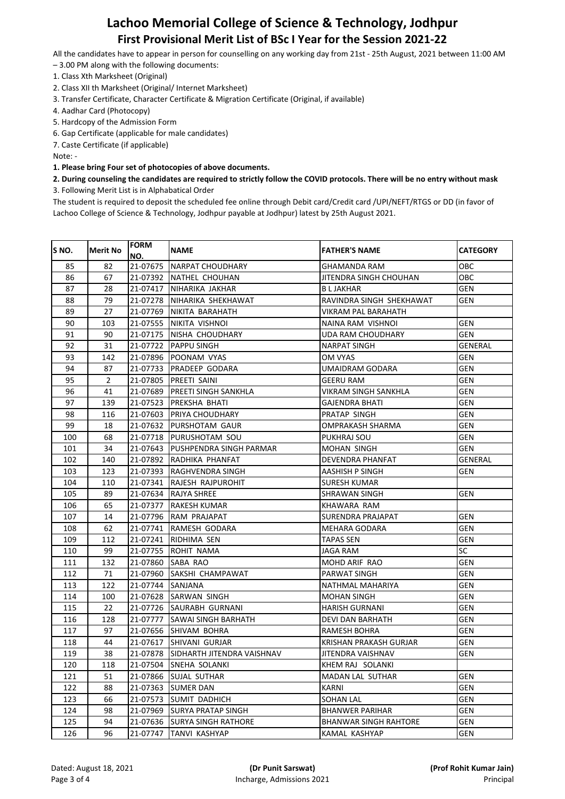All the candidates have to appear in person for counselling on any working day from 21st - 25th August, 2021 between 11:00 AM

- 3.00 PM along with the following documents:
- 1. Class Xth Marksheet (Original)
- 2. Class XII th Marksheet (Original/ Internet Marksheet)
- 3. Transfer Certificate, Character Certificate & Migration Certificate (Original, if available)
- 4. Aadhar Card (Photocopy)
- 5. Hardcopy of the Admission Form
- 6. Gap Certificate (applicable for male candidates)

7. Caste Certificate (if applicable)

Note: -

**1. Please bring Four set of photocopies of above documents.**

### **2. During counseling the candidates are required to strictly follow the COVID protocols. There will be no entry without mask** 3. Following Merit List is in Alphabatical Order

| S <sub>NO</sub> . | <b>Merit No</b> | <b>FORM</b><br>NO. | <b>NAME</b>                         | <b>FATHER'S NAME</b>         | <b>CATEGORY</b> |
|-------------------|-----------------|--------------------|-------------------------------------|------------------------------|-----------------|
| 85                | 82              | 21-07675           | <b>NARPAT CHOUDHARY</b>             | GHAMANDA RAM                 | <b>OBC</b>      |
| 86                | 67              |                    | 21-07392 INATHEL CHOUHAN            | JITENDRA SINGH CHOUHAN       | <b>OBC</b>      |
| 87                | 28              | 21-07417           | NIHARIKA JAKHAR                     | B L JAKHAR                   | GEN             |
| 88                | 79              | 21-07278           | NIHARIKA SHEKHAWAT                  | RAVINDRA SINGH SHEKHAWAT     | GEN             |
| 89                | 27              | 21-07769           | NIKITA BARAHATH                     | VIKRAM PAL BARAHATH          |                 |
| 90                | 103             |                    | 21-07555 INIKITA VISHNOI            | NAINA RAM VISHNOI            | <b>GEN</b>      |
| 91                | 90              |                    | 21-07175 INISHA CHOUDHARY           | UDA RAM CHOUDHARY            | <b>GEN</b>      |
| 92                | 31              |                    | 21-07722 PAPPU SINGH                | NARPAT SINGH                 | GENERAL         |
| 93                | 142             | 21-07896           | POONAM VYAS                         | OM VYAS                      | GEN             |
| 94                | 87              |                    | 21-07733 PRADEEP GODARA             | UMAIDRAM GODARA              | GEN             |
| 95                | 2               | 21-07805           | PREETI SAINI                        | GEERU RAM                    | GEN             |
| 96                | 41              | 21-07689           | PREETI SINGH SANKHLA                | VIKRAM SINGH SANKHLA         | GEN             |
| 97                | 139             | 21-07523           | PREKSHA BHATI                       | GAJENDRA BHATI               | GEN             |
| 98                | 116             | 21-07603           | PRIYA CHOUDHARY                     | PRATAP SINGH                 | GEN             |
| 99                | 18              | 21-07632           | PURSHOTAM GAUR                      | OMPRAKASH SHARMA             | GEN             |
| 100               | 68              |                    | 21-07718 PURUSHOTAM SOU             | PUKHRAJ SOU                  | GEN             |
| 101               | 34              | 21-07643           | PUSHPENDRA SINGH PARMAR             | MOHAN SINGH                  | GEN             |
| 102               | 140             | 21-07892           | RADHIKA PHANFAT                     | DEVENDRA PHANFAT             | GENERAL         |
| 103               | 123             | 21-07393           | RAGHVENDRA SINGH                    | AASHISH P SINGH              | GEN             |
| 104               | 110             | 21-07341           | RAJESH RAJPUROHIT                   | SURESH KUMAR                 |                 |
| 105               | 89              | 21-07634           | <b>RAJYA SHREE</b>                  | SHRAWAN SINGH                | GEN             |
| 106               | 65              | 21-07377           | RAKESH KUMAR                        | KHAWARA RAM                  |                 |
| 107               | 14              | 21-07796           | RAM PRAJAPAT                        | SURENDRA PRAJAPAT            | GEN             |
| 108               | 62              | 21-07741           | RAMESH GODARA                       | MEHARA GODARA                | GEN             |
| 109               | 112             |                    | 21-07241  RIDHIMA SEN               | TAPAS SEN                    | GEN             |
| 110               | 99              |                    | 21-07755 ROHIT NAMA                 | JAGA RAM                     | <b>SC</b>       |
| 111               | 132             |                    | 21-07860 SABA RAO                   | MOHD ARIF RAO                | GEN             |
| 112               | 71              |                    | 21-07960 SAKSHI CHAMPAWAT           | PARWAT SINGH                 | GEN             |
| 113               | 122             | 21-07744 SANJANA   |                                     | NATHMAL MAHARIYA             | GEN             |
| 114               | 100             |                    | 21-07628 SARWAN SINGH               | MOHAN SINGH                  | GEN             |
| 115               | 22              |                    | 21-07726 SAURABH GURNANI            | HARISH GURNANI               | GEN             |
| 116               | 128             |                    | 21-07777 SAWAI SINGH BARHATH        | DEVI DAN BARHATH             | GEN             |
| 117               | 97              |                    | 21-07656 SHIVAM BOHRA               | RAMESH BOHRA                 | GEN             |
| 118               | 44              |                    | 21-07617 ISHIVANI GURJAR            | KRISHAN PRAKASH GURJAR       | GEN             |
| 119               | 38              |                    | 21-07878 SIDHARTH JITENDRA VAISHNAV | JITENDRA VAISHNAV            | GEN             |
| 120               | 118             |                    | 21-07504 SNEHA SOLANKI              | KHEM RAJ SOLANKI             |                 |
| 121               | 51              | 21-07866           | <b>SUJAL SUTHAR</b>                 | MADAN LAL SUTHAR             | <b>GEN</b>      |
| 122               | 88              | 21-07363           | <b>SUMER DAN</b>                    | KARNI                        | <b>GEN</b>      |
| 123               | 66              | 21-07573           | <b>SUMIT DADHICH</b>                | SOHAN LAL                    | <b>GEN</b>      |
| 124               | 98              | 21-07969           | <b>SURYA PRATAP SINGH</b>           | BHANWER PARIHAR              | GEN             |
| 125               | 94              | 21-07636           | SURYA SINGH RATHORE                 | <b>BHANWAR SINGH RAHTORE</b> | GEN             |
| 126               | 96              | 21-07747           | <b>TANVI KASHYAP</b>                | KAMAL KASHYAP                | <b>GEN</b>      |